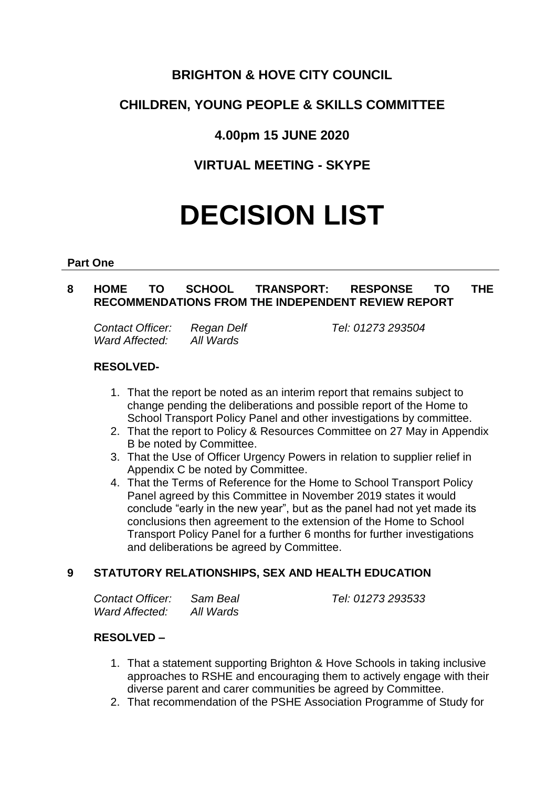## **BRIGHTON & HOVE CITY COUNCIL**

# **CHILDREN, YOUNG PEOPLE & SKILLS COMMITTEE**

## **4.00pm 15 JUNE 2020**

## **VIRTUAL MEETING - SKYPE**

# **DECISION LIST**

#### **Part One**

## **8 HOME TO SCHOOL TRANSPORT: RESPONSE TO THE RECOMMENDATIONS FROM THE INDEPENDENT REVIEW REPORT**

*Contact Officer: Regan Delf Tel: 01273 293504 Ward Affected: All Wards*

#### **RESOLVED-**

- 1. That the report be noted as an interim report that remains subject to change pending the deliberations and possible report of the Home to School Transport Policy Panel and other investigations by committee.
- 2. That the report to Policy & Resources Committee on 27 May in Appendix B be noted by Committee.
- 3. That the Use of Officer Urgency Powers in relation to supplier relief in Appendix C be noted by Committee.
- 4. That the Terms of Reference for the Home to School Transport Policy Panel agreed by this Committee in November 2019 states it would conclude "early in the new year", but as the panel had not yet made its conclusions then agreement to the extension of the Home to School Transport Policy Panel for a further 6 months for further investigations and deliberations be agreed by Committee.

### **9 STATUTORY RELATIONSHIPS, SEX AND HEALTH EDUCATION**

| Contact Officer: | Sam Beal  |
|------------------|-----------|
| Ward Affected:   | All Wards |

*Contact Officer: Sam Beal Tel: 01273 293533*

### **RESOLVED –**

- 1. That a statement supporting Brighton & Hove Schools in taking inclusive approaches to RSHE and encouraging them to actively engage with their diverse parent and carer communities be agreed by Committee.
- 2. That recommendation of the PSHE Association Programme of Study for